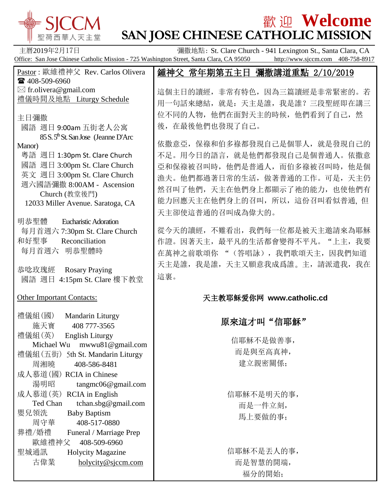

古偉業 [holycity@sjccm.com](mailto:holycity@sjccm.com)

# **歡迎 Welcome**

**SAN JOSE CHINESE CATHOLIC MISSION** 主曆2019年2月17日 彌撒地點: St. Clare Church - 941 Lexington St., Santa Clara, CA Office: San Jose Chinese Catholic Mission - 725 Washington Street, Santa Clara, CA 95050 http://www.sjccm.com 408-758-8917 Pastor : 歐維禮神父 Rev. Carlos Olivera ■ 408-509-6960  $\boxtimes$  fr.olivera@gmail.com 禮儀時間及地點 Liturgy Schedule 主日彌撒 國語 週日 9:00am 五街老人公寓 85 S. 5<sup>th</sup> St. San Jose (Jeanne D'Arc) Manor) 粵語 週日 1:30pm St. Clare Church 國語 週日 3:00pm St. Clare Church 英文 週日 3:00pm St. Clare Church 週六國語彌撒 8:00AM - Ascension Church (教堂後門) 12033 Miller Avenue. Saratoga, CA 明恭聖體 Eucharistic Adoration 每月首週六 7:30pm St. Clare Church 和好聖事 Reconciliation 每月首週六 明恭聖體時 恭唸玫瑰經 Rosary Praying 國語 週日 4:15pm St. Clare 樓下教堂 Other Important Contacts: 禮儀組(國) Mandarin Liturgy 施天寶 408 777-3565 禮儀組(英) English Liturgy Michael Wu mwwu81@gmail.com 禮儀組(五街) 5th St. Mandarin Liturgy 周湘曉 408-586-8481 成人慕道(國) RCIA in Chinese 湯明昭 tangmc06@gmail.com 成人慕道(英) RCIA in English Ted Chan tchan.sbg@gmail.com 嬰兒領洗 Baby Baptism 周守華 408-517-0880 葬禮/婚禮 Funeral / Marriage Prep 歐維禮神父 408-509-6960 聖城通訊 Holycity Magazine 鍾神父 常年期第五主日 彌撒講道重點 2/10/2019 這個主日的讀經,非常有特色,因為三篇讀經是非常緊密的。若 用一句話來總結,就是:天主是誰,我是誰?三段聖經即在講三 位不同的人物,他們在面對天主的時候,他們看到了自己,然 後,在最後他們也發現了自己。 依撒意亞,保祿和伯多祿都發現自己是個罪人,就是發現自己的 不足。用今日的語言,就是他們都發現自己是個普通人。依撒意 亞和保祿被召叫時,他們是普通人,而伯多祿被召叫時,他是個 漁夫。他們都過著日常的生活,做著普通的工作。可是,天主仍 然召叫了他們,天主在他們身上都顯示了祂的能力,也使他們有 能力回應天主在他們身上的召叫,所以,這份召叫看似普通, 但 天主卻使這普通的召叫成為偉大的。 從今天的讀經,不難看出,我們每一位都是被天主邀請來為耶穌 作證。因著天主, 最平凡的生活都會變得不平凡。"上主, 我要 在萬神之前歌頌你 "(答唱詠),我們歌頌天主,因我們知道 天主是誰,我是誰,天主又願意我成爲誰。主,請派遣我,我在 這裏。 天主教耶稣爱你网 **www.catholic.cd** 原來這才叫"信耶穌" 信耶穌不是做善事, 而是與至高真神, 建立親密關係; 信耶穌不是明天的事, 而是一件立刻, 馬上要做的事; 信耶穌不是丟人的事,

而是智慧的開端, 福分的開始;